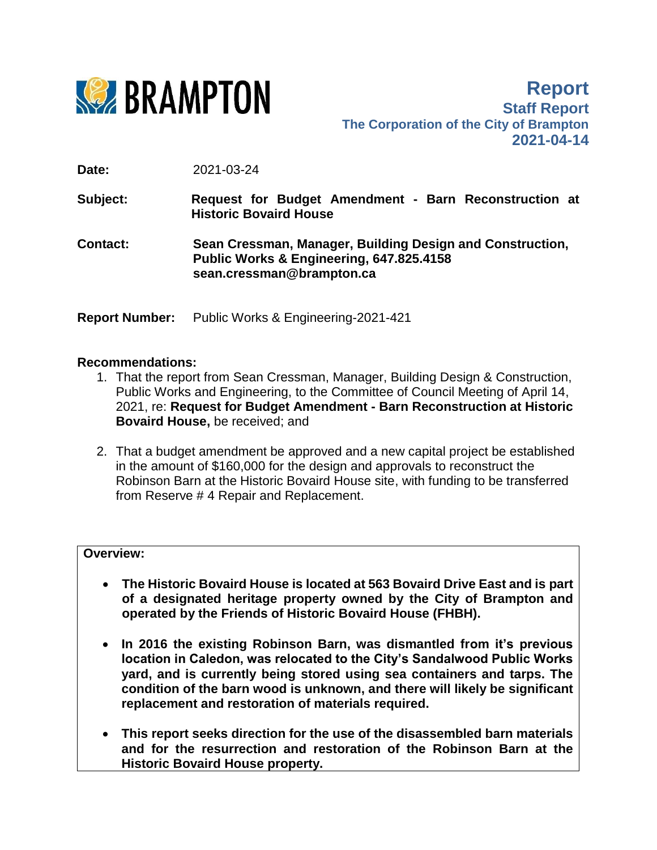

**Report Staff Report The Corporation of the City of Brampton 2021-04-14**

**Date:** 2021-03-24

**Subject: Request for Budget Amendment - Barn Reconstruction at Historic Bovaird House**

**Contact: Sean Cressman, Manager, Building Design and Construction, Public Works & Engineering, 647.825.4158 sean.cressman@brampton.ca**

**Report Number:** Public Works & Engineering-2021-421

#### **Recommendations:**

- 1. That the report from Sean Cressman, Manager, Building Design & Construction, Public Works and Engineering, to the Committee of Council Meeting of April 14, 2021, re: **Request for Budget Amendment - Barn Reconstruction at Historic Bovaird House,** be received; and
- 2. That a budget amendment be approved and a new capital project be established in the amount of \$160,000 for the design and approvals to reconstruct the Robinson Barn at the Historic Bovaird House site, with funding to be transferred from Reserve # 4 Repair and Replacement.

#### **Overview:**

- **The Historic Bovaird House is located at 563 Bovaird Drive East and is part of a designated heritage property owned by the City of Brampton and operated by the Friends of Historic Bovaird House (FHBH).**
- **In 2016 the existing Robinson Barn, was dismantled from it's previous location in Caledon, was relocated to the City's Sandalwood Public Works yard, and is currently being stored using sea containers and tarps. The condition of the barn wood is unknown, and there will likely be significant replacement and restoration of materials required.**
- **This report seeks direction for the use of the disassembled barn materials and for the resurrection and restoration of the Robinson Barn at the Historic Bovaird House property.**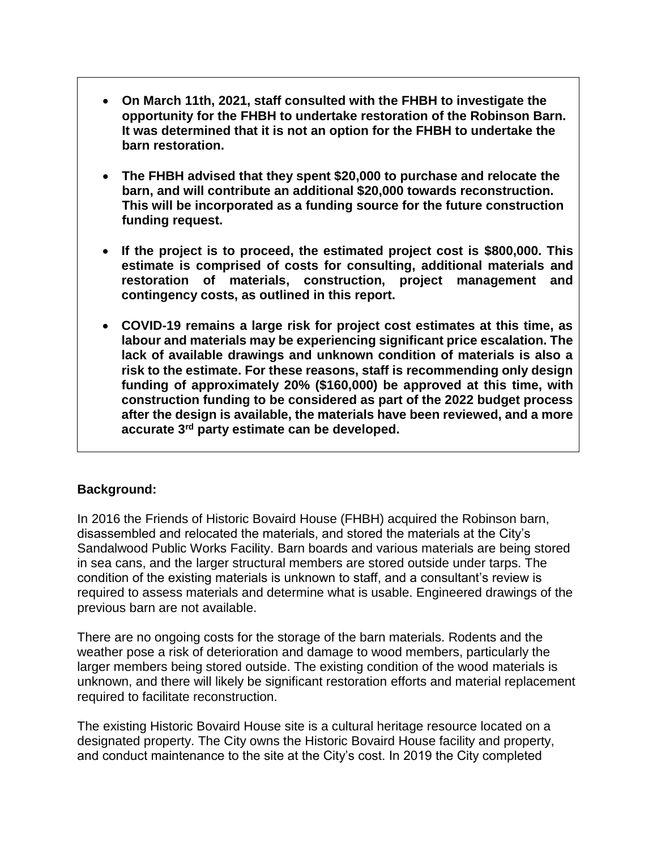- **On March 11th, 2021, staff consulted with the FHBH to investigate the opportunity for the FHBH to undertake restoration of the Robinson Barn. It was determined that it is not an option for the FHBH to undertake the barn restoration.**
- **The FHBH advised that they spent \$20,000 to purchase and relocate the barn, and will contribute an additional \$20,000 towards reconstruction. This will be incorporated as a funding source for the future construction funding request.**
- **If the project is to proceed, the estimated project cost is \$800,000. This estimate is comprised of costs for consulting, additional materials and restoration of materials, construction, project management and contingency costs, as outlined in this report.**
- **COVID-19 remains a large risk for project cost estimates at this time, as labour and materials may be experiencing significant price escalation. The lack of available drawings and unknown condition of materials is also a risk to the estimate. For these reasons, staff is recommending only design funding of approximately 20% (\$160,000) be approved at this time, with construction funding to be considered as part of the 2022 budget process after the design is available, the materials have been reviewed, and a more accurate 3rd party estimate can be developed.**

# **Background:**

In 2016 the Friends of Historic Bovaird House (FHBH) acquired the Robinson barn, disassembled and relocated the materials, and stored the materials at the City's Sandalwood Public Works Facility. Barn boards and various materials are being stored in sea cans, and the larger structural members are stored outside under tarps. The condition of the existing materials is unknown to staff, and a consultant's review is required to assess materials and determine what is usable. Engineered drawings of the previous barn are not available.

There are no ongoing costs for the storage of the barn materials. Rodents and the weather pose a risk of deterioration and damage to wood members, particularly the larger members being stored outside. The existing condition of the wood materials is unknown, and there will likely be significant restoration efforts and material replacement required to facilitate reconstruction.

The existing Historic Bovaird House site is a cultural heritage resource located on a designated property. The City owns the Historic Bovaird House facility and property, and conduct maintenance to the site at the City's cost. In 2019 the City completed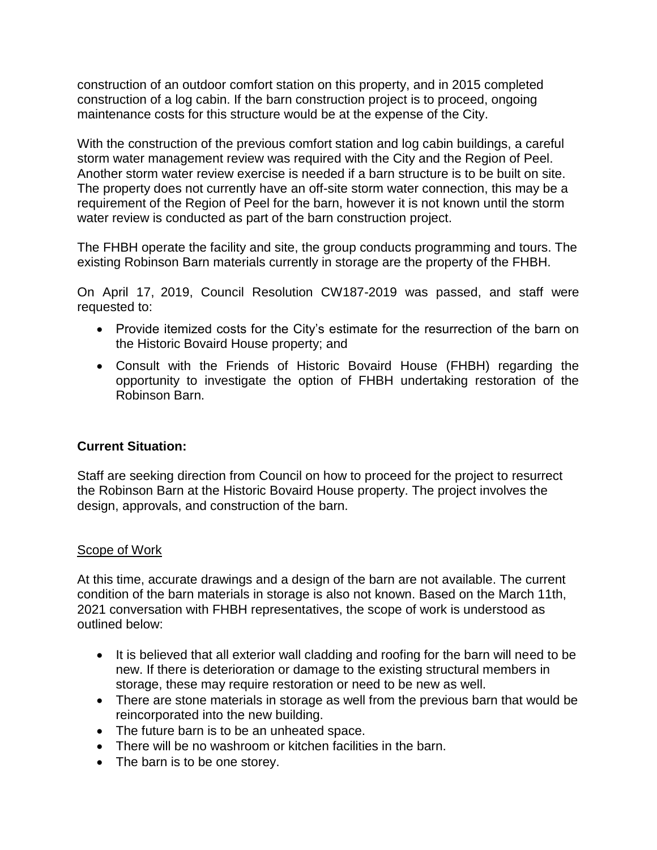construction of an outdoor comfort station on this property, and in 2015 completed construction of a log cabin. If the barn construction project is to proceed, ongoing maintenance costs for this structure would be at the expense of the City.

With the construction of the previous comfort station and log cabin buildings, a careful storm water management review was required with the City and the Region of Peel. Another storm water review exercise is needed if a barn structure is to be built on site. The property does not currently have an off-site storm water connection, this may be a requirement of the Region of Peel for the barn, however it is not known until the storm water review is conducted as part of the barn construction project.

The FHBH operate the facility and site, the group conducts programming and tours. The existing Robinson Barn materials currently in storage are the property of the FHBH.

On April 17, 2019, Council Resolution CW187-2019 was passed, and staff were requested to:

- Provide itemized costs for the City's estimate for the resurrection of the barn on the Historic Bovaird House property; and
- Consult with the Friends of Historic Bovaird House (FHBH) regarding the opportunity to investigate the option of FHBH undertaking restoration of the Robinson Barn.

# **Current Situation:**

Staff are seeking direction from Council on how to proceed for the project to resurrect the Robinson Barn at the Historic Bovaird House property. The project involves the design, approvals, and construction of the barn.

### Scope of Work

At this time, accurate drawings and a design of the barn are not available. The current condition of the barn materials in storage is also not known. Based on the March 11th, 2021 conversation with FHBH representatives, the scope of work is understood as outlined below:

- It is believed that all exterior wall cladding and roofing for the barn will need to be new. If there is deterioration or damage to the existing structural members in storage, these may require restoration or need to be new as well.
- There are stone materials in storage as well from the previous barn that would be reincorporated into the new building.
- The future barn is to be an unheated space.
- There will be no washroom or kitchen facilities in the barn.
- The barn is to be one storey.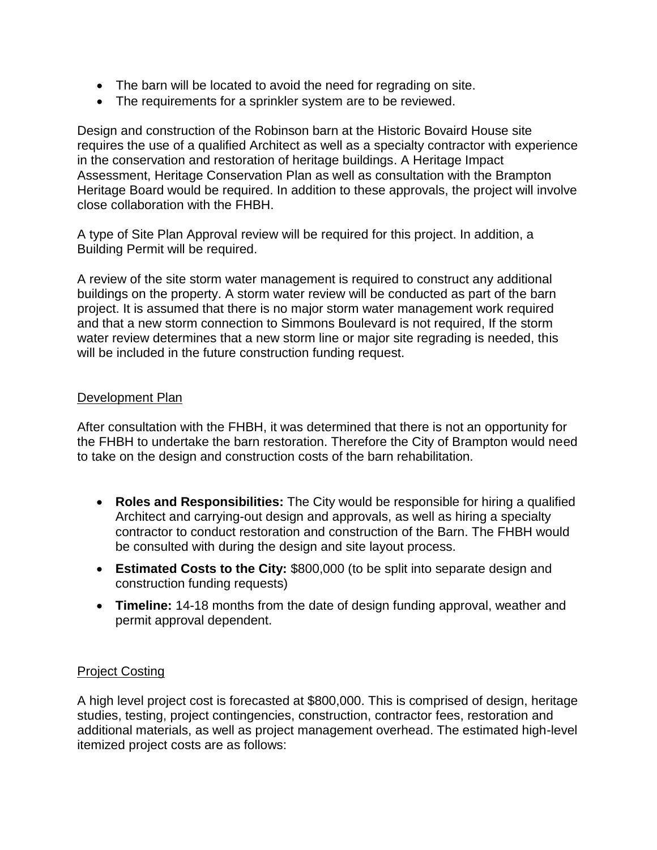- The barn will be located to avoid the need for regrading on site.
- The requirements for a sprinkler system are to be reviewed.

Design and construction of the Robinson barn at the Historic Bovaird House site requires the use of a qualified Architect as well as a specialty contractor with experience in the conservation and restoration of heritage buildings. A Heritage Impact Assessment, Heritage Conservation Plan as well as consultation with the Brampton Heritage Board would be required. In addition to these approvals, the project will involve close collaboration with the FHBH.

A type of Site Plan Approval review will be required for this project. In addition, a Building Permit will be required.

A review of the site storm water management is required to construct any additional buildings on the property. A storm water review will be conducted as part of the barn project. It is assumed that there is no major storm water management work required and that a new storm connection to Simmons Boulevard is not required, If the storm water review determines that a new storm line or major site regrading is needed, this will be included in the future construction funding request.

### Development Plan

After consultation with the FHBH, it was determined that there is not an opportunity for the FHBH to undertake the barn restoration. Therefore the City of Brampton would need to take on the design and construction costs of the barn rehabilitation.

- **Roles and Responsibilities:** The City would be responsible for hiring a qualified Architect and carrying-out design and approvals, as well as hiring a specialty contractor to conduct restoration and construction of the Barn. The FHBH would be consulted with during the design and site layout process.
- **Estimated Costs to the City:** \$800,000 (to be split into separate design and construction funding requests)
- **Timeline:** 14-18 months from the date of design funding approval, weather and permit approval dependent.

### Project Costing

A high level project cost is forecasted at \$800,000. This is comprised of design, heritage studies, testing, project contingencies, construction, contractor fees, restoration and additional materials, as well as project management overhead. The estimated high-level itemized project costs are as follows: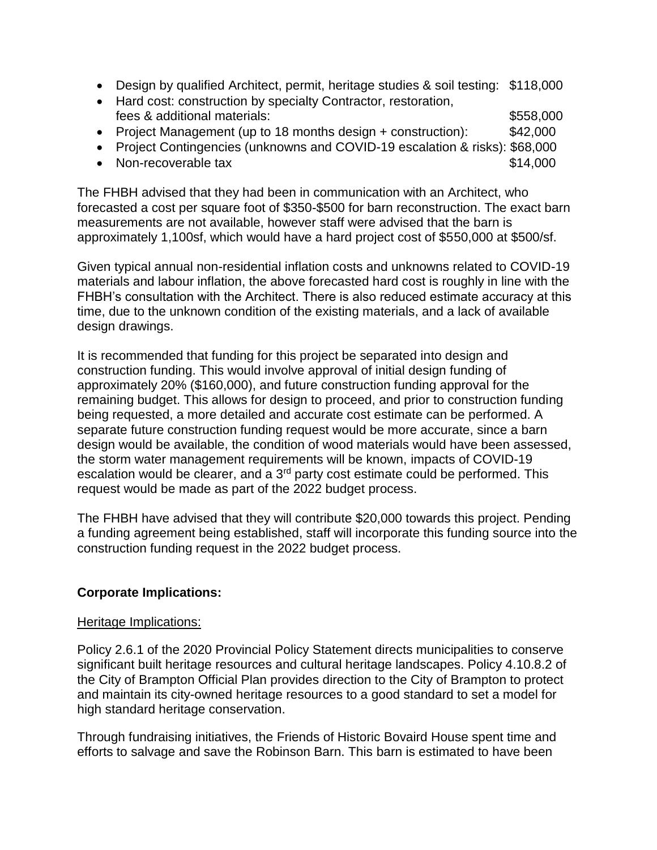- Design by qualified Architect, permit, heritage studies & soil testing: \$118,000
- Hard cost: construction by specialty Contractor, restoration, fees & additional materials:  $$558,000$
- Project Management (up to 18 months design + construction): \$42,000
- Project Contingencies (unknowns and COVID-19 escalation & risks): \$68,000
- Non-recoverable tax \$14,000

The FHBH advised that they had been in communication with an Architect, who forecasted a cost per square foot of \$350-\$500 for barn reconstruction. The exact barn measurements are not available, however staff were advised that the barn is approximately 1,100sf, which would have a hard project cost of \$550,000 at \$500/sf.

Given typical annual non-residential inflation costs and unknowns related to COVID-19 materials and labour inflation, the above forecasted hard cost is roughly in line with the FHBH's consultation with the Architect. There is also reduced estimate accuracy at this time, due to the unknown condition of the existing materials, and a lack of available design drawings.

It is recommended that funding for this project be separated into design and construction funding. This would involve approval of initial design funding of approximately 20% (\$160,000), and future construction funding approval for the remaining budget. This allows for design to proceed, and prior to construction funding being requested, a more detailed and accurate cost estimate can be performed. A separate future construction funding request would be more accurate, since a barn design would be available, the condition of wood materials would have been assessed, the storm water management requirements will be known, impacts of COVID-19 escalation would be clearer, and a 3<sup>rd</sup> party cost estimate could be performed. This request would be made as part of the 2022 budget process.

The FHBH have advised that they will contribute \$20,000 towards this project. Pending a funding agreement being established, staff will incorporate this funding source into the construction funding request in the 2022 budget process.

# **Corporate Implications:**

### Heritage Implications:

Policy 2.6.1 of the 2020 Provincial Policy Statement directs municipalities to conserve significant built heritage resources and cultural heritage landscapes. Policy 4.10.8.2 of the City of Brampton Official Plan provides direction to the City of Brampton to protect and maintain its city-owned heritage resources to a good standard to set a model for high standard heritage conservation.

Through fundraising initiatives, the Friends of Historic Bovaird House spent time and efforts to salvage and save the Robinson Barn. This barn is estimated to have been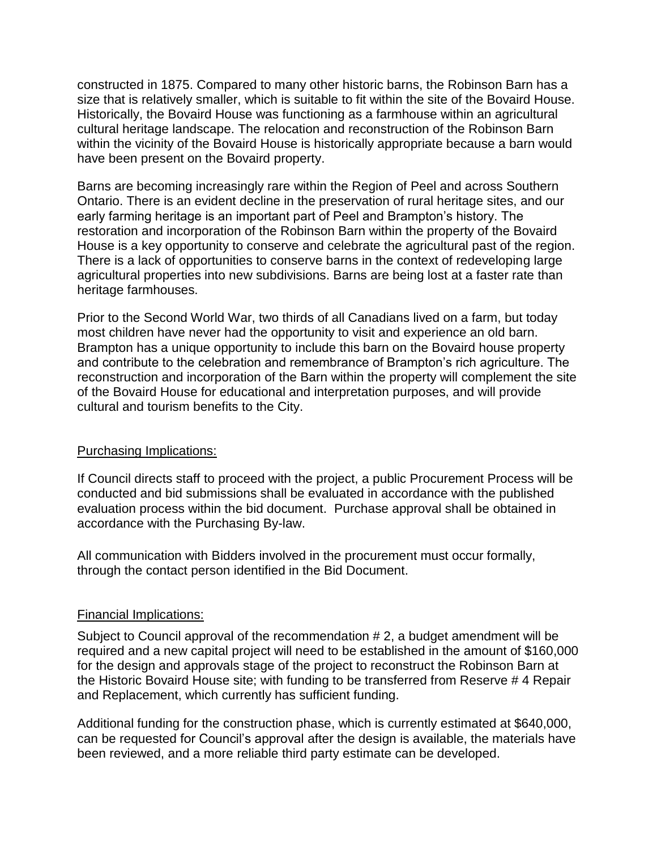constructed in 1875. Compared to many other historic barns, the Robinson Barn has a size that is relatively smaller, which is suitable to fit within the site of the Bovaird House. Historically, the Bovaird House was functioning as a farmhouse within an agricultural cultural heritage landscape. The relocation and reconstruction of the Robinson Barn within the vicinity of the Bovaird House is historically appropriate because a barn would have been present on the Bovaird property.

Barns are becoming increasingly rare within the Region of Peel and across Southern Ontario. There is an evident decline in the preservation of rural heritage sites, and our early farming heritage is an important part of Peel and Brampton's history. The restoration and incorporation of the Robinson Barn within the property of the Bovaird House is a key opportunity to conserve and celebrate the agricultural past of the region. There is a lack of opportunities to conserve barns in the context of redeveloping large agricultural properties into new subdivisions. Barns are being lost at a faster rate than heritage farmhouses.

Prior to the Second World War, two thirds of all Canadians lived on a farm, but today most children have never had the opportunity to visit and experience an old barn. Brampton has a unique opportunity to include this barn on the Bovaird house property and contribute to the celebration and remembrance of Brampton's rich agriculture. The reconstruction and incorporation of the Barn within the property will complement the site of the Bovaird House for educational and interpretation purposes, and will provide cultural and tourism benefits to the City.

### Purchasing Implications:

If Council directs staff to proceed with the project, a public Procurement Process will be conducted and bid submissions shall be evaluated in accordance with the published evaluation process within the bid document. Purchase approval shall be obtained in accordance with the Purchasing By-law.

All communication with Bidders involved in the procurement must occur formally, through the contact person identified in the Bid Document.

### Financial Implications:

Subject to Council approval of the recommendation # 2, a budget amendment will be required and a new capital project will need to be established in the amount of \$160,000 for the design and approvals stage of the project to reconstruct the Robinson Barn at the Historic Bovaird House site; with funding to be transferred from Reserve # 4 Repair and Replacement, which currently has sufficient funding.

Additional funding for the construction phase, which is currently estimated at \$640,000, can be requested for Council's approval after the design is available, the materials have been reviewed, and a more reliable third party estimate can be developed.